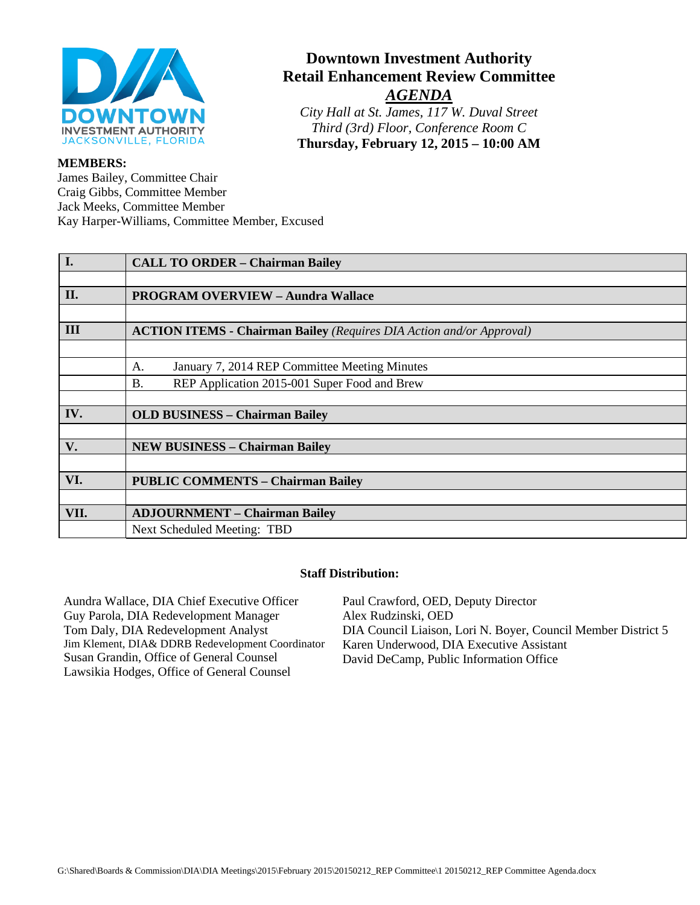

# **Downtown Investment Authority Retail Enhancement Review Committee** *AGENDA*

*City Hall at St. James, 117 W. Duval Street Third (3rd) Floor, Conference Room C* **Thursday, February 12, 2015 – 10:00 AM**

#### **MEMBERS:**

James Bailey, Committee Chair Craig Gibbs, Committee Member Jack Meeks, Committee Member Kay Harper-Williams, Committee Member, Excused

| I.   | <b>CALL TO ORDER - Chairman Bailey</b>                                      |
|------|-----------------------------------------------------------------------------|
|      |                                                                             |
| II.  | <b>PROGRAM OVERVIEW - Aundra Wallace</b>                                    |
|      |                                                                             |
| III  | <b>ACTION ITEMS - Chairman Bailey (Requires DIA Action and/or Approval)</b> |
|      |                                                                             |
|      | January 7, 2014 REP Committee Meeting Minutes<br>A.                         |
|      | <b>B.</b><br>REP Application 2015-001 Super Food and Brew                   |
|      |                                                                             |
| IV.  | <b>OLD BUSINESS - Chairman Bailey</b>                                       |
|      |                                                                             |
| V.   | <b>NEW BUSINESS - Chairman Bailey</b>                                       |
|      |                                                                             |
| VI.  | <b>PUBLIC COMMENTS - Chairman Bailey</b>                                    |
|      |                                                                             |
| VII. | <b>ADJOURNMENT - Chairman Bailey</b>                                        |
|      | Next Scheduled Meeting: TBD                                                 |

#### **Staff Distribution:**

Aundra Wallace, DIA Chief Executive Officer Guy Parola, DIA Redevelopment Manager Tom Daly, DIA Redevelopment Analyst Jim Klement, DIA& DDRB Redevelopment Coordinator Susan Grandin, Office of General Counsel Lawsikia Hodges, Office of General Counsel Alex Rudzinski, OED

Paul Crawford, OED, Deputy Director DIA Council Liaison, Lori N. Boyer, Council Member District 5 Karen Underwood, DIA Executive Assistant David DeCamp, Public Information Office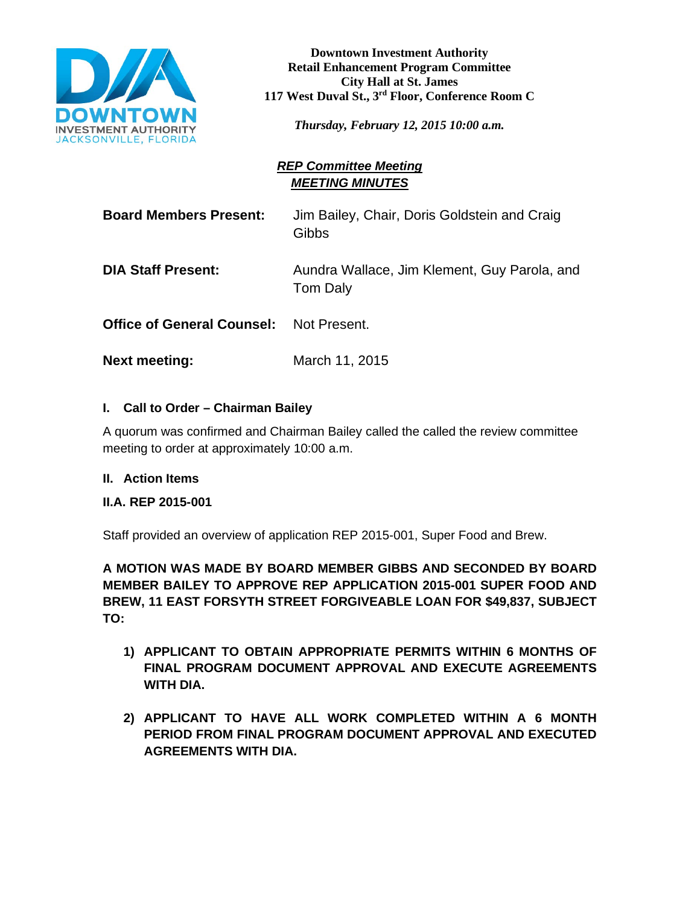

**Downtown Investment Authority Retail Enhancement Program Committee City Hall at St. James 117 West Duval St., 3rd Floor, Conference Room C**

*Thursday, February 12, 2015 10:00 a.m.*

# *REP Committee Meeting MEETING MINUTES*

**Board Members Present:** Jim Bailey, Chair, Doris Goldstein and Craig **Gibbs** 

**DIA Staff Present:** Aundra Wallace, Jim Klement, Guy Parola, and Tom Daly

**Office of General Counsel:** Not Present.

**Next meeting:** March 11, 2015

### **I. Call to Order – Chairman Bailey**

A quorum was confirmed and Chairman Bailey called the called the review committee meeting to order at approximately 10:00 a.m.

### **II. Action Items**

### **II.A. REP 2015-001**

Staff provided an overview of application REP 2015-001, Super Food and Brew.

**A MOTION WAS MADE BY BOARD MEMBER GIBBS AND SECONDED BY BOARD MEMBER BAILEY TO APPROVE REP APPLICATION 2015-001 SUPER FOOD AND BREW, 11 EAST FORSYTH STREET FORGIVEABLE LOAN FOR \$49,837, SUBJECT TO:**

- **1) APPLICANT TO OBTAIN APPROPRIATE PERMITS WITHIN 6 MONTHS OF FINAL PROGRAM DOCUMENT APPROVAL AND EXECUTE AGREEMENTS WITH DIA.**
- **2) APPLICANT TO HAVE ALL WORK COMPLETED WITHIN A 6 MONTH PERIOD FROM FINAL PROGRAM DOCUMENT APPROVAL AND EXECUTED AGREEMENTS WITH DIA.**